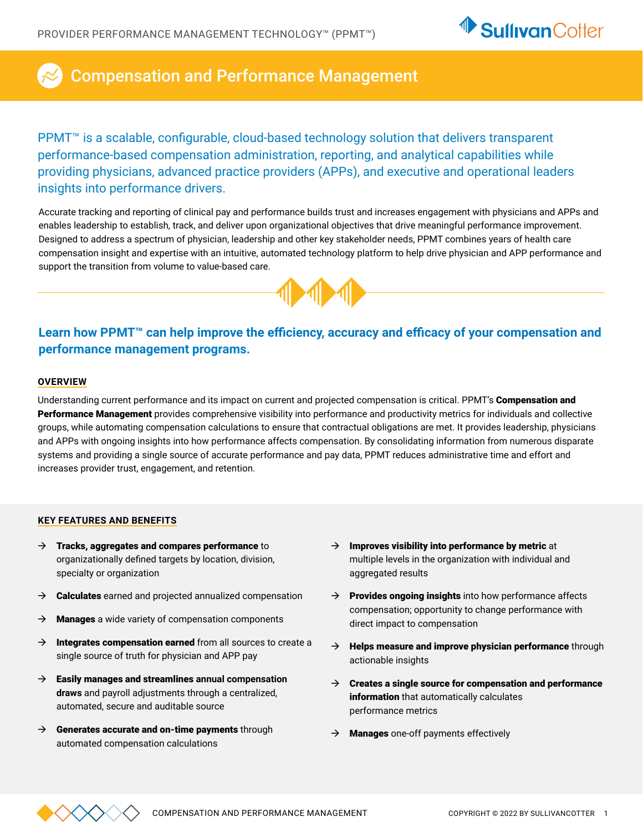

# Compensation and Performance Management

PPMT<sup>™</sup> is a scalable, configurable, cloud-based technology solution that delivers transparent performance-based compensation administration, reporting, and analytical capabilities while providing physicians, advanced practice providers (APPs), and executive and operational leaders insights into performance drivers.

Accurate tracking and reporting of clinical pay and performance builds trust and increases engagement with physicians and APPs and enables leadership to establish, track, and deliver upon organizational objectives that drive meaningful performance improvement. Designed to address a spectrum of physician, leadership and other key stakeholder needs, PPMT combines years of health care compensation insight and expertise with an intuitive, automated technology platform to help drive physician and APP performance and support the transition from volume to value-based care.



## **Learn how PPMT™ can help improve the efficiency, accuracy and efficacy of your compensation and performance management programs.**

### **OVERVIEW**

Understanding current performance and its impact on current and projected compensation is critical. PPMT's **Compensation and** Performance Management provides comprehensive visibility into performance and productivity metrics for individuals and collective groups, while automating compensation calculations to ensure that contractual obligations are met. It provides leadership, physicians and APPs with ongoing insights into how performance affects compensation. By consolidating information from numerous disparate systems and providing a single source of accurate performance and pay data, PPMT reduces administrative time and effort and increases provider trust, engagement, and retention.

### **KEY FEATURES AND BENEFITS**

- $\rightarrow$  Tracks, aggregates and compares performance to organizationally defined targets by location, division, specialty or organization
- $\rightarrow$  Calculates earned and projected annualized compensation
- $\rightarrow$  Manages a wide variety of compensation components
- $\rightarrow$  Integrates compensation earned from all sources to create a single source of truth for physician and APP pay
- $\rightarrow$  Easily manages and streamlines annual compensation **draws** and payroll adjustments through a centralized, automated, secure and auditable source
- $\rightarrow$  Generates accurate and on-time payments through automated compensation calculations
- $\rightarrow$  Improves visibility into performance by metric at multiple levels in the organization with individual and aggregated results
- $\rightarrow$  Provides ongoing insights into how performance affects compensation; opportunity to change performance with direct impact to compensation
- $\rightarrow$  Helps measure and improve physician performance through actionable insights
- $\rightarrow$  Creates a single source for compensation and performance information that automatically calculates performance metrics
- $\rightarrow$  **Manages** one-off payments effectively